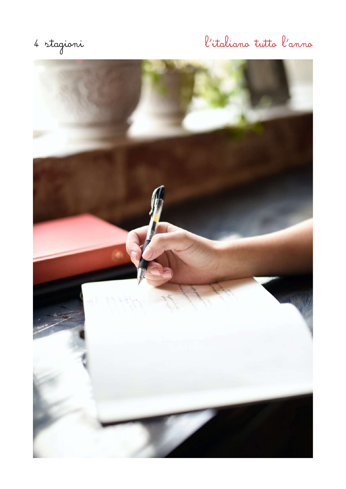# 4 stagioni l'italiano tutto l'anno

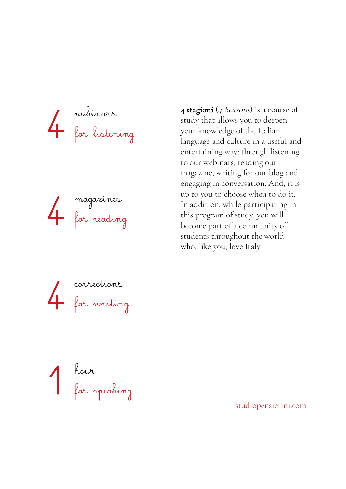webinars for listening 4



**4 stagioni** (*4 Seasons*) is a course of study that allows you to deepen your knowledge of the Italian language and culture in a useful and entertaining way: through listening to our webinars, reading our magazine, writing for our blog and engaging in conversation. And, it is up to you to choose when to do it. In addition, while participating in this program of study, you will become part of a community of students throughout the world who, like you, love Italy.





studiopensierini.com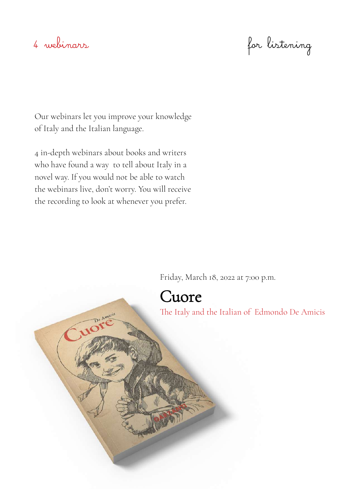4 webinars for listening

Our webinars let you improve your knowledge of Italy and the Italian language.

4 in-depth webinars about books and writers who have found a way to tell about Italy in a novel way. If you would not be able to watch the webinars live, don't worry. You will receive the recording to look at whenever you prefer.

Friday, March 18, 2022 at 7:00 p.m.

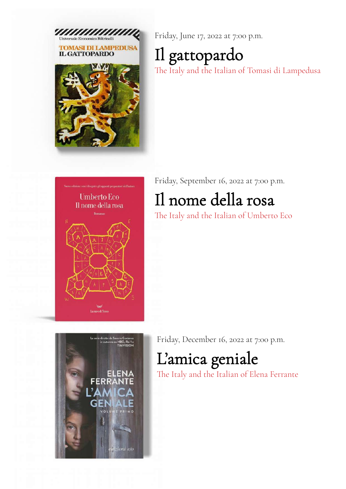

Friday, June 17, 2022 at 7:00 p.m.

## Il gattopardo

The Italy and the Italian of Tomasi di Lampedusa



Friday, September 16, 2022 at 7:00 p.m.

## Il nome della rosa

The Italy and the Italian of Umberto Eco



Friday, December 16, 2022 at 7:00 p.m.

## L'amica geniale

The Italy and the Italian of Elena Ferrante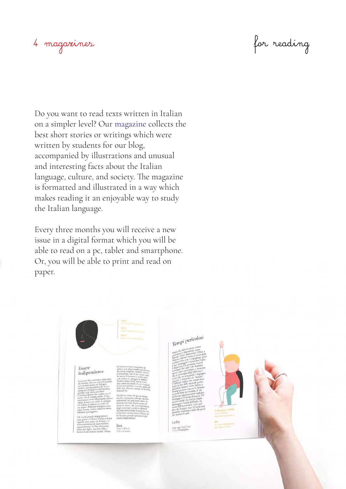## 4 magazines for reading

Do you want to read texts written in Italian on a simpler level? Our [magazine](https://www.studiopensierini.com/magazine) collects the best short stories or writings which were written by students for our blog, accompanied by illustrations and unusual and interesting facts about the Italian language, culture, and society. The magazine is formatted and illustrated in a way which makes reading it an enjoyable way to study the Italian language.

Every three months you will receive a new issue in a digital format which you will be able to read on a pc, tablet and smartphone. Or, you will be able to print and read on paper.



## Essere indipendente

**Iara**<br>Nata in Russia<br>Nive a Croossi

Tempi pericolosi

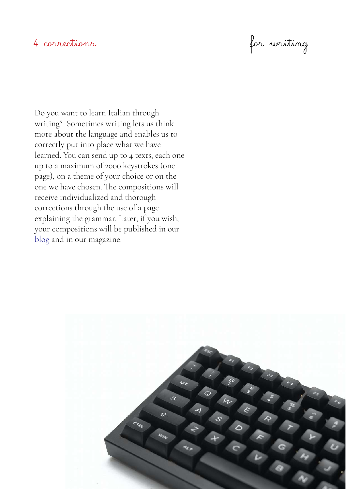4 corrections for writing

Do you want to learn Italian through writing? Sometimes writing lets us think more about the language and enables us to correctly put into place what we have learned. You can send up to 4 texts, each one up to a maximum of 2000 keystrokes (one page), on a theme of your choice or on the one we have chosen. The compositions will receive individualized and thorough corrections through the use of a page explaining the grammar. Later, if you wish, your compositions will be published in our [blog](https://pensierini.blog/) and in our magazine.

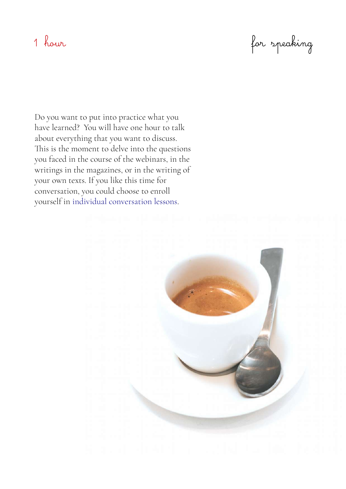1 hour for speaking

Do you want to put into practice what you have learned? You will have one hour to talk about everything that you want to discuss. This is the moment to delve into the questions you faced in the course of the webinars, in the writings in the magazines, or in the writing of your own texts. If you like this time for conversation, you could choose to enroll yourself in [individual conversation lessons](https://www.studiopensierini.com/lezioni).

![](_page_6_Picture_3.jpeg)